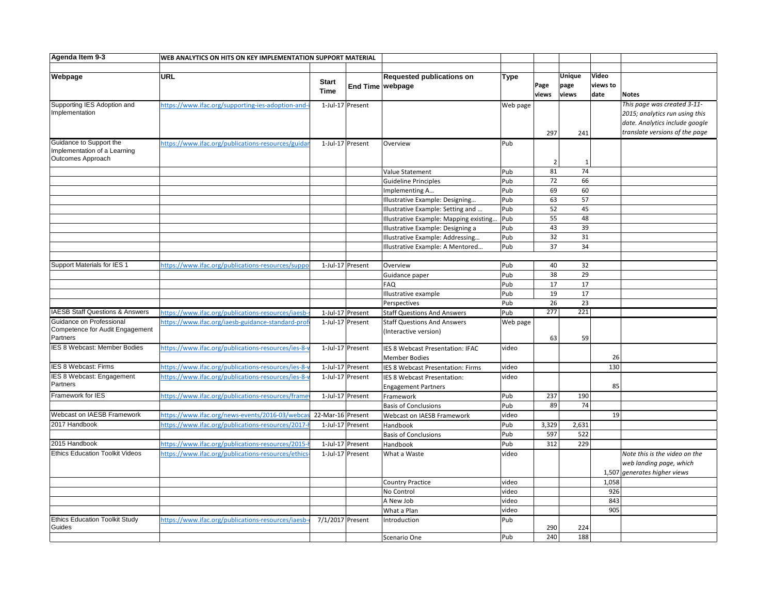| Agenda Item 9-3                            | WEB ANALYTICS ON HITS ON KEY IMPLEMENTATION SUPPORT MATERIAL |                   |                  |                                        |             |                |              |          |                                |
|--------------------------------------------|--------------------------------------------------------------|-------------------|------------------|----------------------------------------|-------------|----------------|--------------|----------|--------------------------------|
|                                            |                                                              |                   |                  |                                        |             |                |              |          |                                |
| Webpage                                    | URL                                                          |                   |                  | <b>Requested publications on</b>       | <b>Type</b> |                | Unique       | Video    |                                |
|                                            |                                                              | <b>Start</b>      |                  | End Time webpage                       |             | Page           | page         | views to |                                |
|                                            |                                                              | <b>Time</b>       |                  |                                        |             | views          | views        | date     | <b>Notes</b>                   |
| Supporting IES Adoption and                | https://www.ifac.org/supporting-ies-adoption-and-            |                   | 1-Jul-17 Present |                                        | Web page    |                |              |          | This page was created 3-11-    |
| Implementation                             |                                                              |                   |                  |                                        |             |                |              |          | 2015; analytics run using this |
|                                            |                                                              |                   |                  |                                        |             |                |              |          | date. Analytics include google |
|                                            |                                                              |                   |                  |                                        |             | 297            | 241          |          | translate versions of the page |
| Guidance to Support the                    | https://www.ifac.org/publications-resources/guida            |                   | 1-Jul-17 Present | Overview                               | Pub         |                |              |          |                                |
| Implementation of a Learning               |                                                              |                   |                  |                                        |             |                |              |          |                                |
| <b>Outcomes Approach</b>                   |                                                              |                   |                  |                                        |             | $\overline{2}$ | $\mathbf{1}$ |          |                                |
|                                            |                                                              |                   |                  | Value Statement                        | Pub         | 81             | 74           |          |                                |
|                                            |                                                              |                   |                  | Guideline Principles                   | Pub         | 72             | 66           |          |                                |
|                                            |                                                              |                   |                  | Implementing A                         | Pub         | 69             | 60           |          |                                |
|                                            |                                                              |                   |                  | Illustrative Example: Designing        | Pub         | 63             | 57           |          |                                |
|                                            |                                                              |                   |                  | Illustrative Example: Setting and      | Pub         | 52             | 45           |          |                                |
|                                            |                                                              |                   |                  | Illustrative Example: Mapping existing | Pub         | 55             | 48           |          |                                |
|                                            |                                                              |                   |                  | Illustrative Example: Designing a      | Pub         | 43             | 39           |          |                                |
|                                            |                                                              |                   |                  | Illustrative Example: Addressing       | Pub         | 32             | 31           |          |                                |
|                                            |                                                              |                   |                  | Illustrative Example: A Mentored       | Pub         | 37             | 34           |          |                                |
|                                            |                                                              |                   |                  |                                        |             |                |              |          |                                |
| Support Materials for IES 1                | https://www.ifac.org/publications-resources/suppo            |                   | 1-Jul-17 Present | Overview                               | Pub         | 40             | 32           |          |                                |
|                                            |                                                              |                   |                  | Guidance paper                         | Pub         | 38             | 29           |          |                                |
|                                            |                                                              |                   |                  | FAQ                                    | Pub         | 17             | 17           |          |                                |
|                                            |                                                              |                   |                  | Illustrative example                   | Pub         | 19             | 17           |          |                                |
|                                            |                                                              |                   |                  | Perspectives                           | Pub         | 26             | 23           |          |                                |
| <b>IAESB Staff Questions &amp; Answers</b> | https://www.ifac.org/publications-resources/iaesb-           |                   | 1-Jul-17 Present | <b>Staff Questions And Answers</b>     | Pub         | 277            | 221          |          |                                |
| Guidance on Professional                   | https://www.ifac.org/iaesb-guidance-standard-prof            |                   | 1-Jul-17 Present | <b>Staff Questions And Answers</b>     |             |                |              |          |                                |
| Competence for Audit Engagement            |                                                              |                   |                  | (Interactive version)                  | Web page    |                |              |          |                                |
| Partners                                   |                                                              |                   |                  |                                        |             | 63             | 59           |          |                                |
| IES 8 Webcast: Member Bodies               | https://www.ifac.org/publications-resources/ies-8-           |                   | 1-Jul-17 Present | IES 8 Webcast Presentation: IFAC       | video       |                |              |          |                                |
|                                            |                                                              |                   |                  | <b>Member Bodies</b>                   |             |                |              | 26       |                                |
| <b>IES 8 Webcast: Firms</b>                | https://www.ifac.org/publications-resources/ies-8-           |                   | 1-Jul-17 Present | IES 8 Webcast Presentation: Firms      | video       |                |              | 130      |                                |
| <b>IES 8 Webcast: Engagement</b>           | https://www.ifac.org/publications-resources/ies-8-v          |                   | 1-Jul-17 Present | IES 8 Webcast Presentation:            | video       |                |              |          |                                |
| Partners                                   |                                                              |                   |                  | <b>Engagement Partners</b>             |             |                |              | 85       |                                |
| Framework for IES                          | https://www.ifac.org/publications-resources/frame            |                   | 1-Jul-17 Present | Framework                              | Pub         | 237            | 190          |          |                                |
|                                            |                                                              |                   |                  | <b>Basis of Conclusions</b>            | Pub         | 89             | 74           |          |                                |
| Webcast on IAESB Framework                 | https://www.ifac.org/news-events/2016-03/webcas              | 22-Mar-16 Present |                  | Webcast on IAESB Framework             | video       |                |              | 19       |                                |
| 2017 Handbook                              | https://www.ifac.org/publications-resources/2017-            |                   | 1-Jul-17 Present | Handbook                               | Pub         | 3,329          | 2,631        |          |                                |
|                                            |                                                              |                   |                  | <b>Basis of Conclusions</b>            | Pub         | 597            | 522          |          |                                |
| 2015 Handbook                              | https://www.ifac.org/publications-resources/2015-            |                   | 1-Jul-17 Present | Handbook                               | Pub         | 312            | 229          |          |                                |
| <b>Ethics Education Toolkit Videos</b>     | https://www.ifac.org/publications-resources/ethics           |                   | 1-Jul-17 Present | What a Waste                           | video       |                |              |          | Note this is the video on the  |
|                                            |                                                              |                   |                  |                                        |             |                |              |          | web landing page, which        |
|                                            |                                                              |                   |                  |                                        |             |                |              |          | 1,507 generates higher views   |
|                                            |                                                              |                   |                  | <b>Country Practice</b>                | video       |                |              | 1,058    |                                |
|                                            |                                                              |                   |                  | No Control                             | video       |                |              | 926      |                                |
|                                            |                                                              |                   |                  | A New Job                              | video       |                |              | 843      |                                |
|                                            |                                                              |                   |                  | What a Plan                            | video       |                |              | 905      |                                |
| <b>Ethics Education Toolkit Study</b>      | https://www.ifac.org/publications-resources/iaesb-           | 7/1/2017 Present  |                  | Introduction                           | Pub         |                |              |          |                                |
| Guides                                     |                                                              |                   |                  |                                        |             | 290            | 224          |          |                                |
|                                            |                                                              |                   |                  | Scenario One                           | Pub         | 240            | 188          |          |                                |
|                                            |                                                              |                   |                  |                                        |             |                |              |          |                                |